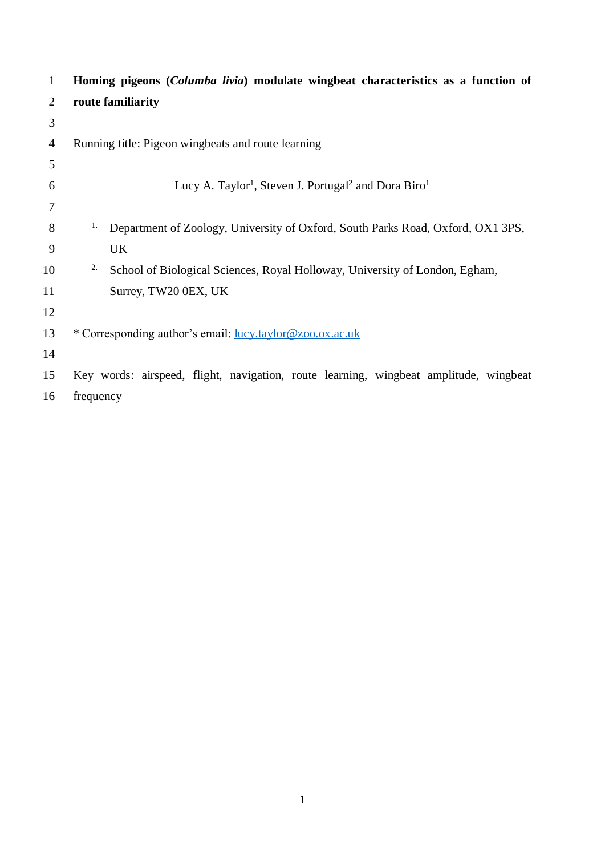| $\mathbf{1}$   | Homing pigeons (Columba livia) modulate wingbeat characteristics as a function of        |
|----------------|------------------------------------------------------------------------------------------|
| 2              | route familiarity                                                                        |
| 3              |                                                                                          |
| $\overline{4}$ | Running title: Pigeon wingbeats and route learning                                       |
| 5              |                                                                                          |
| 6              | Lucy A. Taylor <sup>1</sup> , Steven J. Portugal <sup>2</sup> and Dora Biro <sup>1</sup> |
| 7              |                                                                                          |
| 8              | 1.<br>Department of Zoology, University of Oxford, South Parks Road, Oxford, OX1 3PS,    |
| 9              | <b>UK</b>                                                                                |
| 10             | 2.<br>School of Biological Sciences, Royal Holloway, University of London, Egham,        |
| 11             | Surrey, TW20 0EX, UK                                                                     |
| 12             |                                                                                          |
| 13             | * Corresponding author's email: lucy.taylor@zoo.ox.ac.uk                                 |
| 14             |                                                                                          |
| 15             | Key words: airspeed, flight, navigation, route learning, wingbeat amplitude, wingbeat    |
| 16             | frequency                                                                                |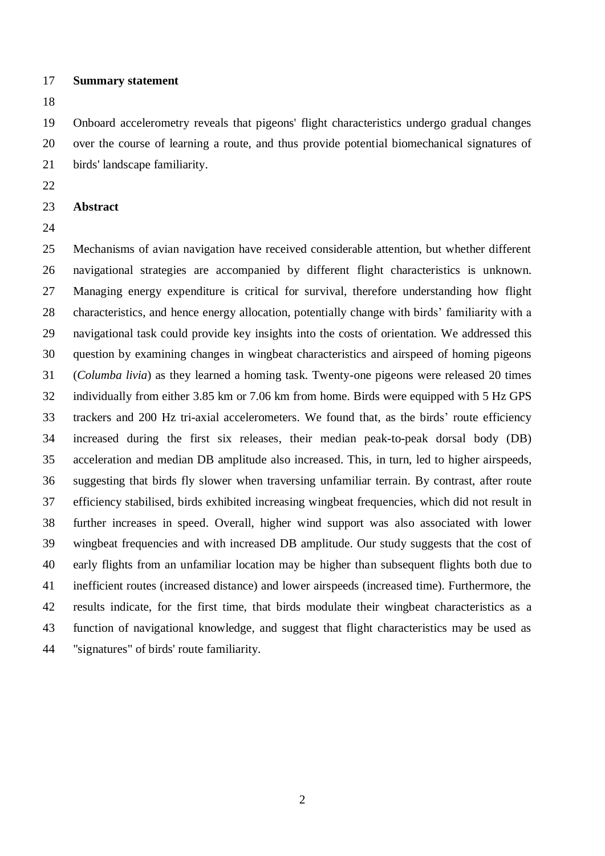### **Summary statement**

 Onboard accelerometry reveals that pigeons' flight characteristics undergo gradual changes over the course of learning a route, and thus provide potential biomechanical signatures of birds' landscape familiarity.

- 
- **Abstract**
- 

 Mechanisms of avian navigation have received considerable attention, but whether different navigational strategies are accompanied by different flight characteristics is unknown. Managing energy expenditure is critical for survival, therefore understanding how flight characteristics, and hence energy allocation, potentially change with birds' familiarity with a navigational task could provide key insights into the costs of orientation. We addressed this question by examining changes in wingbeat characteristics and airspeed of homing pigeons (*Columba livia*) as they learned a homing task. Twenty-one pigeons were released 20 times individually from either 3.85 km or 7.06 km from home. Birds were equipped with 5 Hz GPS trackers and 200 Hz tri-axial accelerometers. We found that, as the birds' route efficiency increased during the first six releases, their median peak-to-peak dorsal body (DB) acceleration and median DB amplitude also increased. This, in turn, led to higher airspeeds, suggesting that birds fly slower when traversing unfamiliar terrain. By contrast, after route efficiency stabilised, birds exhibited increasing wingbeat frequencies, which did not result in further increases in speed. Overall, higher wind support was also associated with lower wingbeat frequencies and with increased DB amplitude. Our study suggests that the cost of early flights from an unfamiliar location may be higher than subsequent flights both due to inefficient routes (increased distance) and lower airspeeds (increased time). Furthermore, the results indicate, for the first time, that birds modulate their wingbeat characteristics as a function of navigational knowledge, and suggest that flight characteristics may be used as "signatures" of birds' route familiarity.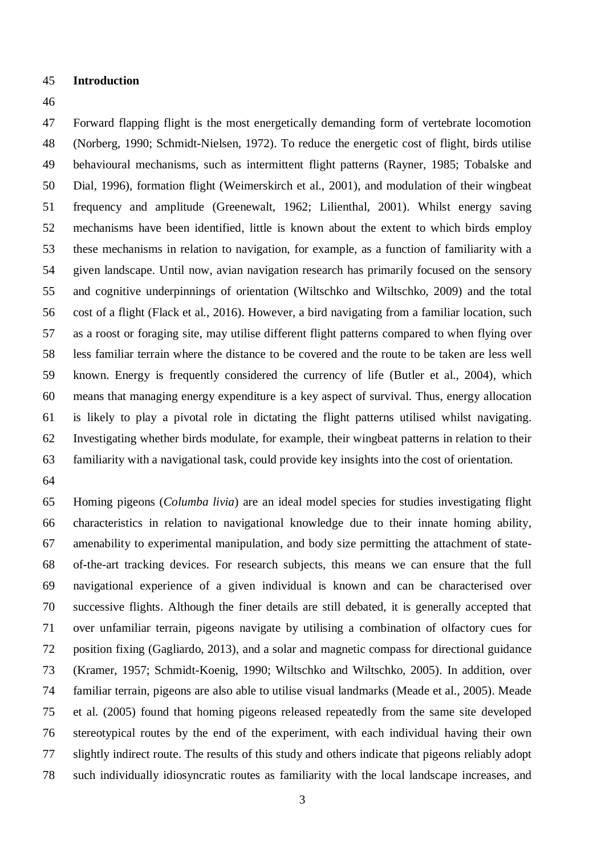### **Introduction**

 Forward flapping flight is the most energetically demanding form of vertebrate locomotion (Norberg, 1990; Schmidt-Nielsen, 1972). To reduce the energetic cost of flight, birds utilise behavioural mechanisms, such as intermittent flight patterns (Rayner, 1985; Tobalske and Dial, 1996), formation flight (Weimerskirch et al., 2001), and modulation of their wingbeat frequency and amplitude (Greenewalt, 1962; Lilienthal, 2001). Whilst energy saving mechanisms have been identified, little is known about the extent to which birds employ these mechanisms in relation to navigation, for example, as a function of familiarity with a given landscape. Until now, avian navigation research has primarily focused on the sensory and cognitive underpinnings of orientation (Wiltschko and Wiltschko, 2009) and the total cost of a flight (Flack et al., 2016). However, a bird navigating from a familiar location, such as a roost or foraging site, may utilise different flight patterns compared to when flying over less familiar terrain where the distance to be covered and the route to be taken are less well known. Energy is frequently considered the currency of life (Butler et al., 2004), which means that managing energy expenditure is a key aspect of survival. Thus, energy allocation is likely to play a pivotal role in dictating the flight patterns utilised whilst navigating. Investigating whether birds modulate, for example, their wingbeat patterns in relation to their familiarity with a navigational task, could provide key insights into the cost of orientation.

 Homing pigeons (*Columba livia*) are an ideal model species for studies investigating flight characteristics in relation to navigational knowledge due to their innate homing ability, amenability to experimental manipulation, and body size permitting the attachment of state- of-the-art tracking devices. For research subjects, this means we can ensure that the full navigational experience of a given individual is known and can be characterised over successive flights. Although the finer details are still debated, it is generally accepted that over unfamiliar terrain, pigeons navigate by utilising a combination of olfactory cues for position fixing (Gagliardo, 2013), and a solar and magnetic compass for directional guidance (Kramer, 1957; Schmidt-Koenig, 1990; Wiltschko and Wiltschko, 2005). In addition, over familiar terrain, pigeons are also able to utilise visual landmarks (Meade et al., 2005). Meade et al. (2005) found that homing pigeons released repeatedly from the same site developed stereotypical routes by the end of the experiment, with each individual having their own slightly indirect route. The results of this study and others indicate that pigeons reliably adopt such individually idiosyncratic routes as familiarity with the local landscape increases, and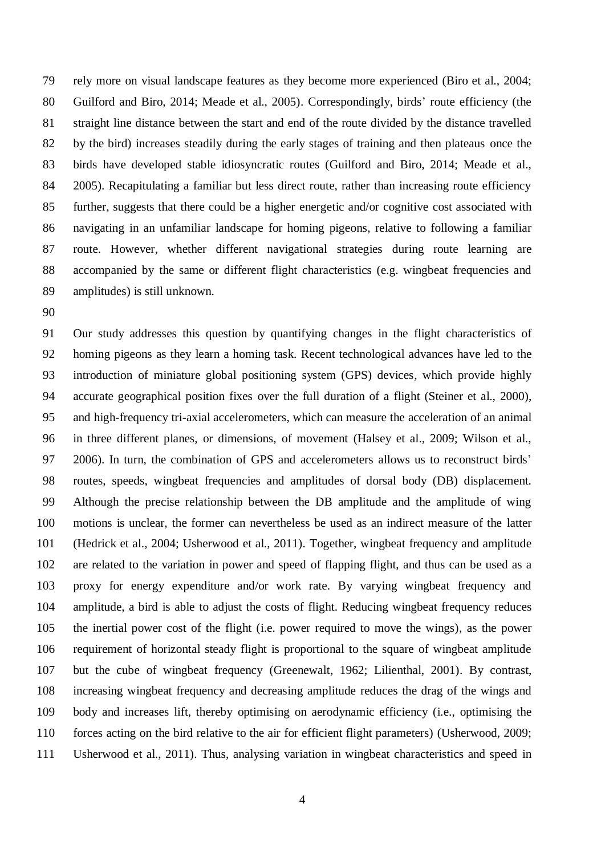rely more on visual landscape features as they become more experienced (Biro et al., 2004; Guilford and Biro, 2014; Meade et al., 2005). Correspondingly, birds' route efficiency (the straight line distance between the start and end of the route divided by the distance travelled by the bird) increases steadily during the early stages of training and then plateaus once the birds have developed stable idiosyncratic routes (Guilford and Biro, 2014; Meade et al., 2005). Recapitulating a familiar but less direct route, rather than increasing route efficiency further, suggests that there could be a higher energetic and/or cognitive cost associated with navigating in an unfamiliar landscape for homing pigeons, relative to following a familiar route. However, whether different navigational strategies during route learning are 88 accompanied by the same or different flight characteristics (e.g. wingbeat frequencies and amplitudes) is still unknown.

 Our study addresses this question by quantifying changes in the flight characteristics of homing pigeons as they learn a homing task. Recent technological advances have led to the introduction of miniature global positioning system (GPS) devices, which provide highly accurate geographical position fixes over the full duration of a flight (Steiner et al., 2000), and high-frequency tri-axial accelerometers, which can measure the acceleration of an animal in three different planes, or dimensions, of movement (Halsey et al., 2009; Wilson et al., 2006). In turn, the combination of GPS and accelerometers allows us to reconstruct birds' routes, speeds, wingbeat frequencies and amplitudes of dorsal body (DB) displacement. Although the precise relationship between the DB amplitude and the amplitude of wing motions is unclear, the former can nevertheless be used as an indirect measure of the latter (Hedrick et al., 2004; Usherwood et al., 2011). Together, wingbeat frequency and amplitude are related to the variation in power and speed of flapping flight, and thus can be used as a proxy for energy expenditure and/or work rate. By varying wingbeat frequency and amplitude, a bird is able to adjust the costs of flight. Reducing wingbeat frequency reduces the inertial power cost of the flight (i.e. power required to move the wings), as the power requirement of horizontal steady flight is proportional to the square of wingbeat amplitude but the cube of wingbeat frequency (Greenewalt, 1962; Lilienthal, 2001). By contrast, increasing wingbeat frequency and decreasing amplitude reduces the drag of the wings and body and increases lift, thereby optimising on aerodynamic efficiency (i.e., optimising the forces acting on the bird relative to the air for efficient flight parameters) (Usherwood, 2009; Usherwood et al., 2011). Thus, analysing variation in wingbeat characteristics and speed in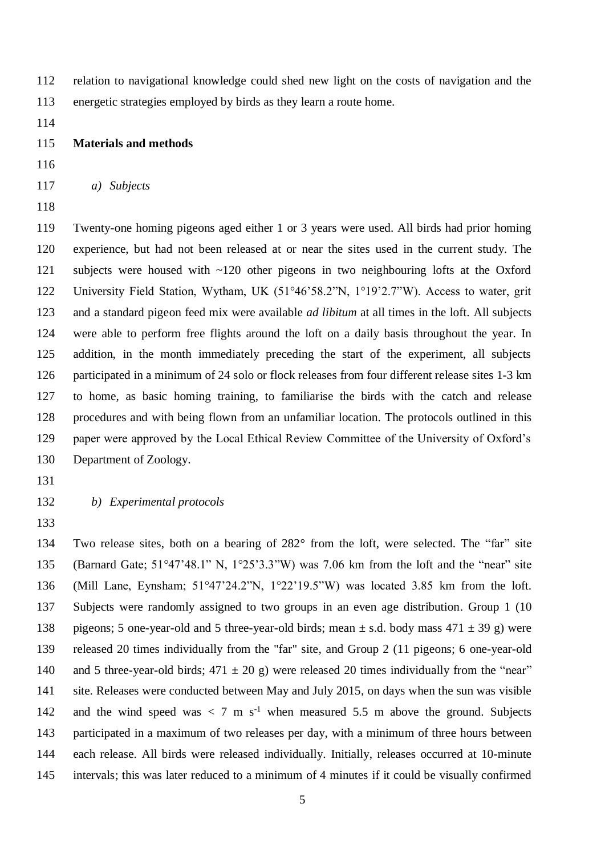relation to navigational knowledge could shed new light on the costs of navigation and the energetic strategies employed by birds as they learn a route home.

## **Materials and methods**

*a) Subjects* 

 Twenty-one homing pigeons aged either 1 or 3 years were used. All birds had prior homing experience, but had not been released at or near the sites used in the current study. The subjects were housed with ~120 other pigeons in two neighbouring lofts at the Oxford University Field Station, Wytham, UK (51°46'58.2"N, 1°19'2.7"W). Access to water, grit and a standard pigeon feed mix were available *ad libitum* at all times in the loft. All subjects were able to perform free flights around the loft on a daily basis throughout the year. In addition, in the month immediately preceding the start of the experiment, all subjects participated in a minimum of 24 solo or flock releases from four different release sites 1-3 km to home, as basic homing training, to familiarise the birds with the catch and release procedures and with being flown from an unfamiliar location. The protocols outlined in this paper were approved by the Local Ethical Review Committee of the University of Oxford's Department of Zoology.

- *b) Experimental protocols*
- 

 Two release sites, both on a bearing of 282° from the loft, were selected. The "far" site (Barnard Gate; 51°47'48.1" N, 1°25'3.3"W) was 7.06 km from the loft and the "near" site (Mill Lane, Eynsham; 51°47'24.2"N, 1°22'19.5"W) was located 3.85 km from the loft. Subjects were randomly assigned to two groups in an even age distribution. Group 1 (10 138 pigeons; 5 one-year-old and 5 three-year-old birds; mean  $\pm$  s.d. body mass 471  $\pm$  39 g) were released 20 times individually from the "far" site, and Group 2 (11 pigeons; 6 one-year-old 140 and 5 three-year-old birds;  $471 \pm 20$  g) were released 20 times individually from the "near" site. Releases were conducted between May and July 2015, on days when the sun was visible 142 and the wind speed was  $\langle 7 \text{ m s}^{\text{-1}} \rangle$  when measured 5.5 m above the ground. Subjects participated in a maximum of two releases per day, with a minimum of three hours between each release. All birds were released individually. Initially, releases occurred at 10-minute intervals; this was later reduced to a minimum of 4 minutes if it could be visually confirmed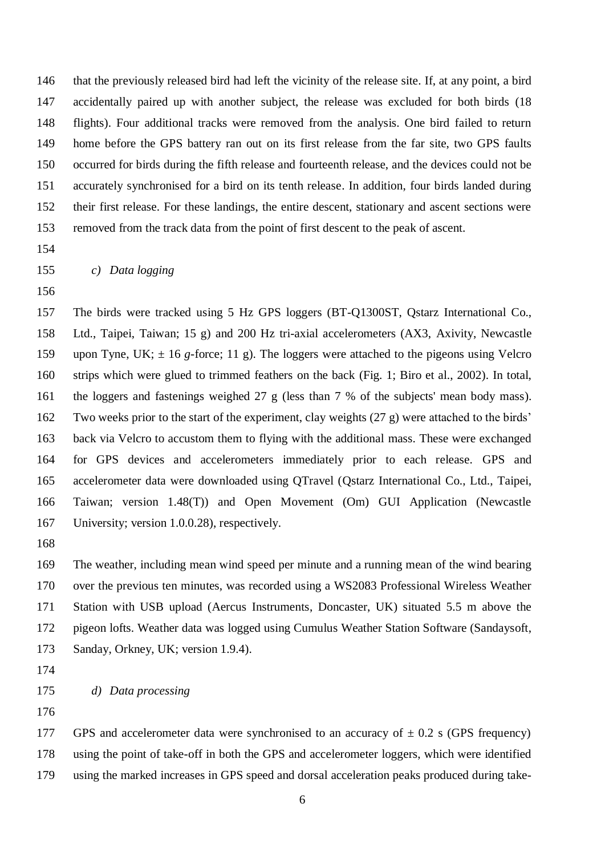that the previously released bird had left the vicinity of the release site. If, at any point, a bird accidentally paired up with another subject, the release was excluded for both birds (18 flights). Four additional tracks were removed from the analysis. One bird failed to return home before the GPS battery ran out on its first release from the far site, two GPS faults occurred for birds during the fifth release and fourteenth release, and the devices could not be accurately synchronised for a bird on its tenth release. In addition, four birds landed during their first release. For these landings, the entire descent, stationary and ascent sections were removed from the track data from the point of first descent to the peak of ascent.

- 
- *c) Data logging*
- 

 The birds were tracked using 5 Hz GPS loggers (BT-Q1300ST, Qstarz International Co., Ltd., Taipei, Taiwan; 15 g) and 200 Hz tri-axial accelerometers (AX3, Axivity, Newcastle upon Tyne, UK; ± 16 *g-*force; 11 g). The loggers were attached to the pigeons using Velcro strips which were glued to trimmed feathers on the back (Fig. 1; Biro et al., 2002). In total, the loggers and fastenings weighed 27 g (less than 7 % of the subjects' mean body mass). Two weeks prior to the start of the experiment, clay weights (27 g) were attached to the birds' back via Velcro to accustom them to flying with the additional mass. These were exchanged for GPS devices and accelerometers immediately prior to each release. GPS and accelerometer data were downloaded using QTravel (Qstarz International Co., Ltd., Taipei, Taiwan; version 1.48(T)) and Open Movement (Om) GUI Application (Newcastle University; version 1.0.0.28), respectively.

 The weather, including mean wind speed per minute and a running mean of the wind bearing over the previous ten minutes, was recorded using a WS2083 Professional Wireless Weather Station with USB upload (Aercus Instruments, Doncaster, UK) situated 5.5 m above the pigeon lofts. Weather data was logged using Cumulus Weather Station Software (Sandaysoft, Sanday, Orkney, UK; version 1.9.4).

177 GPS and accelerometer data were synchronised to an accuracy of  $\pm$  0.2 s (GPS frequency) using the point of take-off in both the GPS and accelerometer loggers, which were identified using the marked increases in GPS speed and dorsal acceleration peaks produced during take-

*d) Data processing*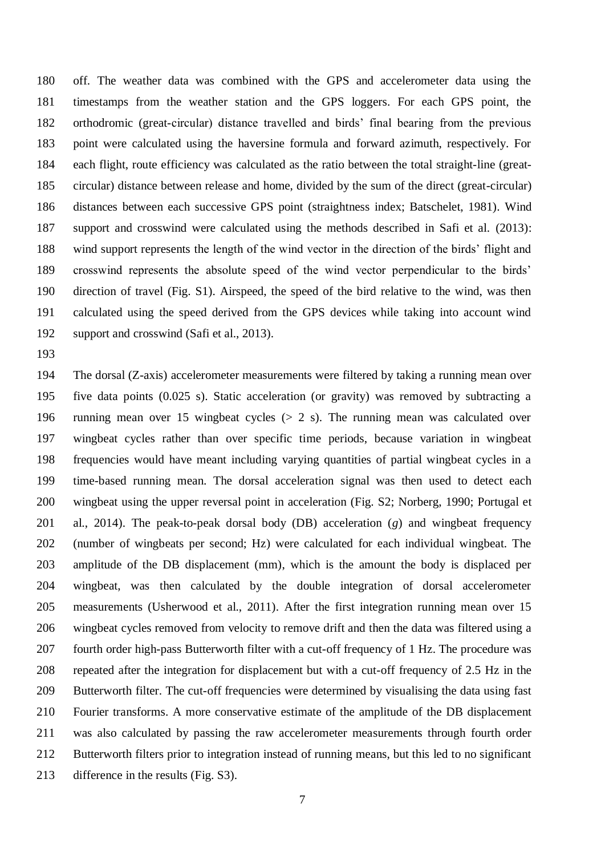off. The weather data was combined with the GPS and accelerometer data using the timestamps from the weather station and the GPS loggers. For each GPS point, the orthodromic (great-circular) distance travelled and birds' final bearing from the previous point were calculated using the haversine formula and forward azimuth, respectively. For each flight, route efficiency was calculated as the ratio between the total straight-line (great- circular) distance between release and home, divided by the sum of the direct (great-circular) distances between each successive GPS point (straightness index; Batschelet, 1981). Wind support and crosswind were calculated using the methods described in Safi et al. (2013): wind support represents the length of the wind vector in the direction of the birds' flight and crosswind represents the absolute speed of the wind vector perpendicular to the birds' direction of travel (Fig. S1). Airspeed, the speed of the bird relative to the wind, was then calculated using the speed derived from the GPS devices while taking into account wind support and crosswind (Safi et al., 2013).

 The dorsal (Z-axis) accelerometer measurements were filtered by taking a running mean over five data points (0.025 s). Static acceleration (or gravity) was removed by subtracting a running mean over 15 wingbeat cycles (> 2 s). The running mean was calculated over wingbeat cycles rather than over specific time periods, because variation in wingbeat frequencies would have meant including varying quantities of partial wingbeat cycles in a time-based running mean. The dorsal acceleration signal was then used to detect each wingbeat using the upper reversal point in acceleration (Fig. S2; Norberg, 1990; Portugal et al., 2014). The peak-to-peak dorsal body (DB) acceleration (*g*) and wingbeat frequency (number of wingbeats per second; Hz) were calculated for each individual wingbeat. The amplitude of the DB displacement (mm), which is the amount the body is displaced per wingbeat, was then calculated by the double integration of dorsal accelerometer measurements (Usherwood et al., 2011). After the first integration running mean over 15 wingbeat cycles removed from velocity to remove drift and then the data was filtered using a fourth order high-pass Butterworth filter with a cut-off frequency of 1 Hz. The procedure was repeated after the integration for displacement but with a cut-off frequency of 2.5 Hz in the Butterworth filter. The cut-off frequencies were determined by visualising the data using fast Fourier transforms. A more conservative estimate of the amplitude of the DB displacement was also calculated by passing the raw accelerometer measurements through fourth order Butterworth filters prior to integration instead of running means, but this led to no significant difference in the results (Fig. S3).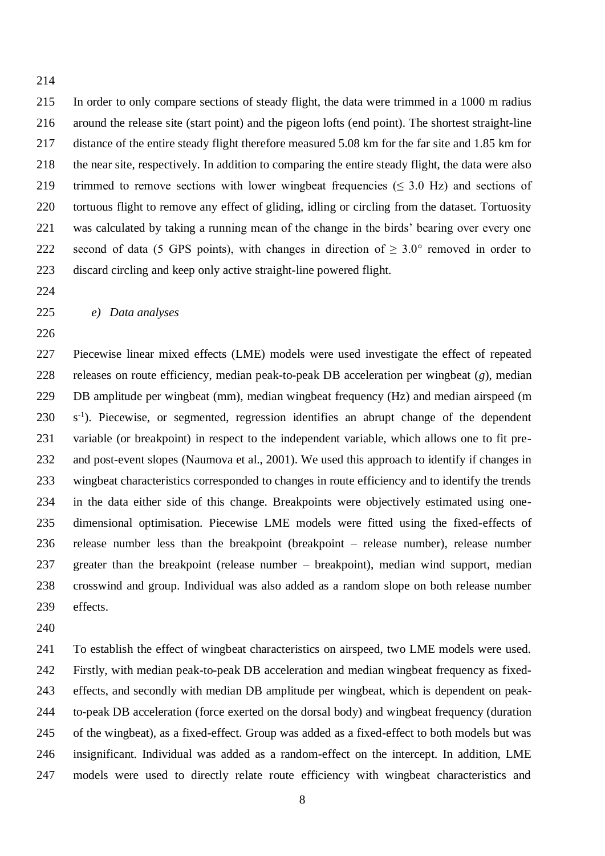In order to only compare sections of steady flight, the data were trimmed in a 1000 m radius around the release site (start point) and the pigeon lofts (end point). The shortest straight-line distance of the entire steady flight therefore measured 5.08 km for the far site and 1.85 km for the near site, respectively. In addition to comparing the entire steady flight, the data were also 219 trimmed to remove sections with lower wingbeat frequencies ( $\leq$  3.0 Hz) and sections of tortuous flight to remove any effect of gliding, idling or circling from the dataset. Tortuosity was calculated by taking a running mean of the change in the birds' bearing over every one 222 second of data (5 GPS points), with changes in direction of  $\geq 3.0^{\circ}$  removed in order to discard circling and keep only active straight-line powered flight.

- 
- 

# *e) Data analyses*

 Piecewise linear mixed effects (LME) models were used investigate the effect of repeated releases on route efficiency, median peak-to-peak DB acceleration per wingbeat (*g*), median DB amplitude per wingbeat (mm), median wingbeat frequency (Hz) and median airspeed (m 230 s<sup>-1</sup>). Piecewise, or segmented, regression identifies an abrupt change of the dependent variable (or breakpoint) in respect to the independent variable, which allows one to fit pre- and post-event slopes (Naumova et al., 2001). We used this approach to identify if changes in wingbeat characteristics corresponded to changes in route efficiency and to identify the trends in the data either side of this change. Breakpoints were objectively estimated using one- dimensional optimisation. Piecewise LME models were fitted using the fixed-effects of release number less than the breakpoint (breakpoint – release number), release number greater than the breakpoint (release number – breakpoint), median wind support, median crosswind and group. Individual was also added as a random slope on both release number effects.

 To establish the effect of wingbeat characteristics on airspeed, two LME models were used. Firstly, with median peak-to-peak DB acceleration and median wingbeat frequency as fixed- effects, and secondly with median DB amplitude per wingbeat, which is dependent on peak- to-peak DB acceleration (force exerted on the dorsal body) and wingbeat frequency (duration of the wingbeat), as a fixed-effect. Group was added as a fixed-effect to both models but was insignificant. Individual was added as a random-effect on the intercept. In addition, LME models were used to directly relate route efficiency with wingbeat characteristics and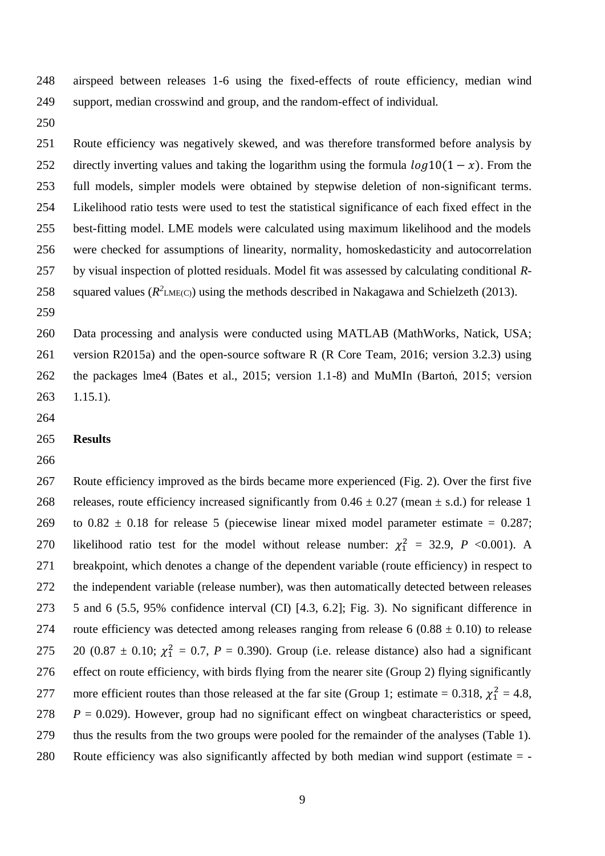airspeed between releases 1-6 using the fixed-effects of route efficiency, median wind support, median crosswind and group, and the random-effect of individual.

 Route efficiency was negatively skewed, and was therefore transformed before analysis by 252 directly inverting values and taking the logarithm using the formula  $log 10(1 - x)$ . From the full models, simpler models were obtained by stepwise deletion of non-significant terms. Likelihood ratio tests were used to test the statistical significance of each fixed effect in the best-fitting model. LME models were calculated using maximum likelihood and the models were checked for assumptions of linearity, normality, homoskedasticity and autocorrelation by visual inspection of plotted residuals. Model fit was assessed by calculating conditional *R*-258 squared values  $(R^2_{LME(C)})$  using the methods described in Nakagawa and Schielzeth (2013).

 Data processing and analysis were conducted using MATLAB (MathWorks, Natick, USA; version R2015a) and the open-source software R (R Core Team, 2016; version 3.2.3) using the packages lme4 (Bates et al., 2015; version 1.1-8) and MuMIn (Bartoń, 2015; version 1.15.1).

**Results**

 Route efficiency improved as the birds became more experienced (Fig. 2). Over the first five 268 releases, route efficiency increased significantly from  $0.46 \pm 0.27$  (mean  $\pm$  s.d.) for release 1 269 to  $0.82 \pm 0.18$  for release 5 (piecewise linear mixed model parameter estimate = 0.287; 270 likelihood ratio test for the model without release number:  $\chi_1^2 = 32.9$ , *P* <0.001). A breakpoint, which denotes a change of the dependent variable (route efficiency) in respect to the independent variable (release number), was then automatically detected between releases 5 and 6 (5.5, 95% confidence interval (CI) [4.3, 6.2]; Fig. 3). No significant difference in 274 route efficiency was detected among releases ranging from release 6 ( $0.88 \pm 0.10$ ) to release 275 20 (0.87  $\pm$  0.10;  $\chi_1^2 = 0.7$ ,  $P = 0.390$ ). Group (i.e. release distance) also had a significant effect on route efficiency, with birds flying from the nearer site (Group 2) flying significantly 277 more efficient routes than those released at the far site (Group 1; estimate = 0.318,  $\chi_1^2 = 4.8$ , 278  $P = 0.029$ ). However, group had no significant effect on wingbeat characteristics or speed, thus the results from the two groups were pooled for the remainder of the analyses (Table 1). Route efficiency was also significantly affected by both median wind support (estimate = -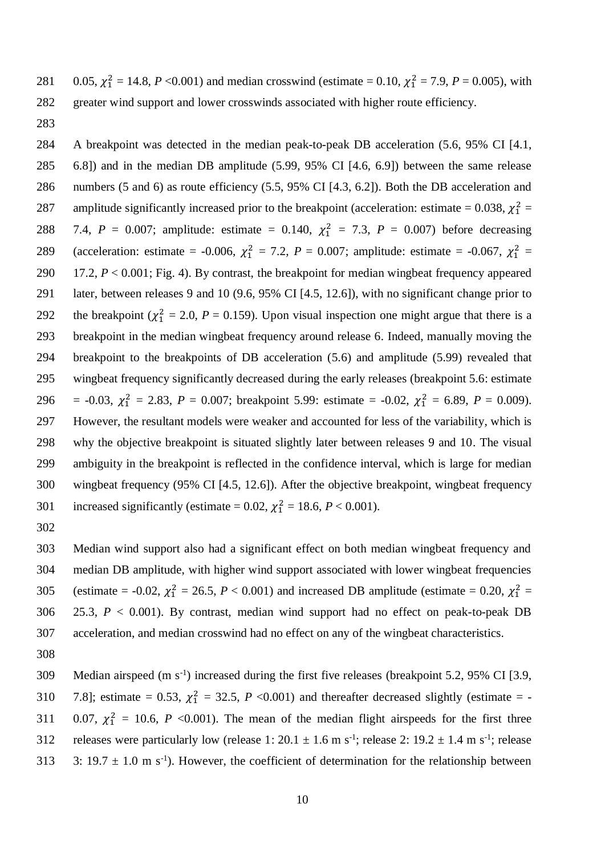281 0.05,  $\chi_1^2 = 14.8$ , *P* <0.001) and median crosswind (estimate = 0.10,  $\chi_1^2 = 7.9$ , *P* = 0.005), with greater wind support and lower crosswinds associated with higher route efficiency.

 A breakpoint was detected in the median peak-to-peak DB acceleration (5.6, 95% CI [4.1, 6.8]) and in the median DB amplitude (5.99, 95% CI [4.6, 6.9]) between the same release numbers (5 and 6) as route efficiency (5.5, 95% CI [4.3, 6.2]). Both the DB acceleration and 287 amplitude significantly increased prior to the breakpoint (acceleration: estimate = 0.038,  $\chi_1^2$  = 288 7.4,  $P = 0.007$ ; amplitude: estimate = 0.140,  $\chi_1^2 = 7.3$ ,  $P = 0.007$ ) before decreasing 289 (acceleration: estimate = -0.006,  $\chi_1^2 = 7.2$ ,  $P = 0.007$ ; amplitude: estimate = -0.067,  $\chi_1^2 =$  17.2, *P* < 0.001; Fig. 4). By contrast, the breakpoint for median wingbeat frequency appeared later, between releases 9 and 10 (9.6, 95% CI [4.5, 12.6]), with no significant change prior to 292 the breakpoint ( $\chi_1^2 = 2.0$ ,  $P = 0.159$ ). Upon visual inspection one might argue that there is a breakpoint in the median wingbeat frequency around release 6. Indeed, manually moving the breakpoint to the breakpoints of DB acceleration (5.6) and amplitude (5.99) revealed that wingbeat frequency significantly decreased during the early releases (breakpoint 5.6: estimate 296 = -0.03,  $\chi_1^2 = 2.83$ ,  $P = 0.007$ ; breakpoint 5.99: estimate = -0.02,  $\chi_1^2 = 6.89$ ,  $P = 0.009$ ). However, the resultant models were weaker and accounted for less of the variability, which is why the objective breakpoint is situated slightly later between releases 9 and 10. The visual ambiguity in the breakpoint is reflected in the confidence interval, which is large for median wingbeat frequency (95% CI [4.5, 12.6]). After the objective breakpoint, wingbeat frequency 301 increased significantly (estimate = 0.02,  $\chi_1^2 = 18.6$ ,  $P < 0.001$ ).

 Median wind support also had a significant effect on both median wingbeat frequency and median DB amplitude, with higher wind support associated with lower wingbeat frequencies 305 (estimate = -0.02,  $\chi_1^2 = 26.5$ ,  $P < 0.001$ ) and increased DB amplitude (estimate = 0.20,  $\chi_1^2 =$  25.3, *P* < 0.001). By contrast, median wind support had no effect on peak-to-peak DB acceleration, and median crosswind had no effect on any of the wingbeat characteristics.

309 Median airspeed (m s<sup>-1</sup>) increased during the first five releases (breakpoint 5.2, 95% CI [3.9, 310 7.8]; estimate = 0.53,  $\chi_1^2 = 32.5$ , *P* <0.001) and thereafter decreased slightly (estimate = -311 0.07,  $\chi_1^2 = 10.6$ , *P* <0.001). The mean of the median flight airspeeds for the first three 312 releases were particularly low (release 1:  $20.1 \pm 1.6$  m s<sup>-1</sup>; release 2:  $19.2 \pm 1.4$  m s<sup>-1</sup>; release 313 3: 19.7  $\pm$  1.0 m s<sup>-1</sup>). However, the coefficient of determination for the relationship between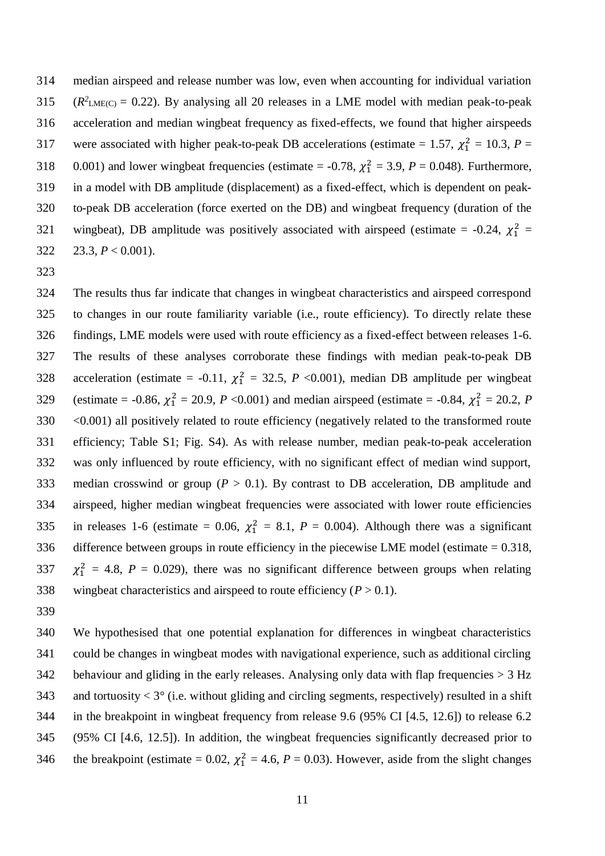314 median airspeed and release number was low, even when accounting for individual variation  $(1.315)$   $(R^2$ <sub>LME(C)</sub> = 0.22). By analysing all 20 releases in a LME model with median peak-to-peak 316 acceleration and median wingbeat frequency as fixed-effects, we found that higher airspeeds 317 were associated with higher peak-to-peak DB accelerations (estimate = 1.57,  $\chi_1^2 = 10.3$ ,  $P =$ 318 0.001) and lower wingbeat frequencies (estimate = -0.78,  $\chi_1^2 = 3.9$ ,  $P = 0.048$ ). Furthermore, 319 in a model with DB amplitude (displacement) as a fixed-effect, which is dependent on peak-320 to-peak DB acceleration (force exerted on the DB) and wingbeat frequency (duration of the 321 wingbeat), DB amplitude was positively associated with airspeed (estimate = -0.24,  $\chi_1^2$  = 322 23.3,  $P < 0.001$ ).

323

 The results thus far indicate that changes in wingbeat characteristics and airspeed correspond to changes in our route familiarity variable (i.e., route efficiency). To directly relate these findings, LME models were used with route efficiency as a fixed-effect between releases 1-6. The results of these analyses corroborate these findings with median peak-to-peak DB 328 acceleration (estimate = -0.11,  $\chi_1^2 = 32.5$ , *P* <0.001), median DB amplitude per wingbeat 329 (estimate = -0.86,  $\chi_1^2 = 20.9$ , *P* <0.001) and median airspeed (estimate = -0.84,  $\chi_1^2 = 20.2$ , *P* 330 <0.001) all positively related to route efficiency (negatively related to the transformed route efficiency; Table S1; Fig. S4). As with release number, median peak-to-peak acceleration was only influenced by route efficiency, with no significant effect of median wind support, median crosswind or group (*P* > 0.1). By contrast to DB acceleration, DB amplitude and airspeed, higher median wingbeat frequencies were associated with lower route efficiencies 335 in releases 1-6 (estimate = 0.06,  $\chi_1^2 = 8.1$ ,  $P = 0.004$ ). Although there was a significant difference between groups in route efficiency in the piecewise LME model (estimate = 0.318,  $\chi_1^2 = 4.8$ ,  $P = 0.029$ ), there was no significant difference between groups when relating 338 wingbeat characteristics and airspeed to route efficiency  $(P > 0.1)$ .

339

340 We hypothesised that one potential explanation for differences in wingbeat characteristics 341 could be changes in wingbeat modes with navigational experience, such as additional circling 342 behaviour and gliding in the early releases. Analysing only data with flap frequencies  $> 3$  Hz 343 and tortuosity  $\lt 3^\circ$  (i.e. without gliding and circling segments, respectively) resulted in a shift 344 in the breakpoint in wingbeat frequency from release 9.6 (95% CI [4.5, 12.6]) to release 6.2 345 (95% CI [4.6, 12.5]). In addition, the wingbeat frequencies significantly decreased prior to 346 the breakpoint (estimate = 0.02,  $\chi_1^2 = 4.6$ ,  $P = 0.03$ ). However, aside from the slight changes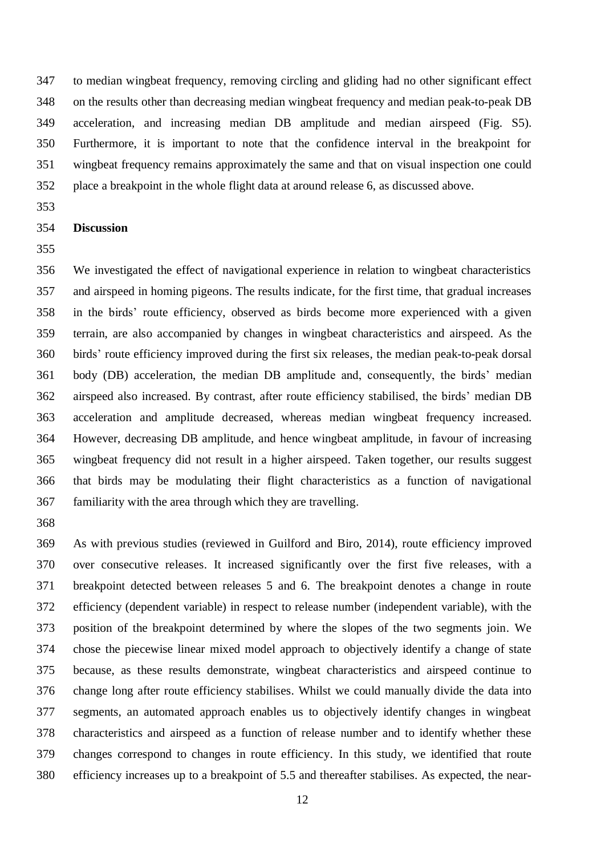to median wingbeat frequency, removing circling and gliding had no other significant effect on the results other than decreasing median wingbeat frequency and median peak-to-peak DB acceleration, and increasing median DB amplitude and median airspeed (Fig. S5). Furthermore, it is important to note that the confidence interval in the breakpoint for wingbeat frequency remains approximately the same and that on visual inspection one could place a breakpoint in the whole flight data at around release 6, as discussed above.

## **Discussion**

 We investigated the effect of navigational experience in relation to wingbeat characteristics and airspeed in homing pigeons. The results indicate, for the first time, that gradual increases in the birds' route efficiency, observed as birds become more experienced with a given terrain, are also accompanied by changes in wingbeat characteristics and airspeed. As the birds' route efficiency improved during the first six releases, the median peak-to-peak dorsal body (DB) acceleration, the median DB amplitude and, consequently, the birds' median airspeed also increased. By contrast, after route efficiency stabilised, the birds' median DB acceleration and amplitude decreased, whereas median wingbeat frequency increased. However, decreasing DB amplitude, and hence wingbeat amplitude, in favour of increasing wingbeat frequency did not result in a higher airspeed. Taken together, our results suggest that birds may be modulating their flight characteristics as a function of navigational familiarity with the area through which they are travelling.

 As with previous studies (reviewed in Guilford and Biro, 2014), route efficiency improved over consecutive releases. It increased significantly over the first five releases, with a breakpoint detected between releases 5 and 6. The breakpoint denotes a change in route efficiency (dependent variable) in respect to release number (independent variable), with the position of the breakpoint determined by where the slopes of the two segments join. We chose the piecewise linear mixed model approach to objectively identify a change of state because, as these results demonstrate, wingbeat characteristics and airspeed continue to change long after route efficiency stabilises. Whilst we could manually divide the data into segments, an automated approach enables us to objectively identify changes in wingbeat characteristics and airspeed as a function of release number and to identify whether these changes correspond to changes in route efficiency. In this study, we identified that route efficiency increases up to a breakpoint of 5.5 and thereafter stabilises. As expected, the near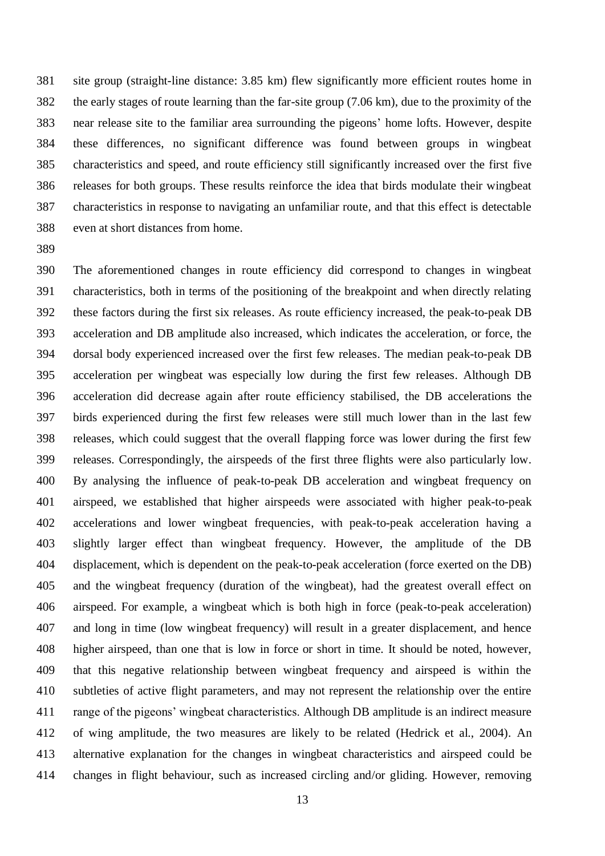site group (straight-line distance: 3.85 km) flew significantly more efficient routes home in the early stages of route learning than the far-site group (7.06 km), due to the proximity of the near release site to the familiar area surrounding the pigeons' home lofts. However, despite these differences, no significant difference was found between groups in wingbeat characteristics and speed, and route efficiency still significantly increased over the first five releases for both groups. These results reinforce the idea that birds modulate their wingbeat characteristics in response to navigating an unfamiliar route, and that this effect is detectable even at short distances from home.

 The aforementioned changes in route efficiency did correspond to changes in wingbeat characteristics, both in terms of the positioning of the breakpoint and when directly relating these factors during the first six releases. As route efficiency increased, the peak-to-peak DB acceleration and DB amplitude also increased, which indicates the acceleration, or force, the dorsal body experienced increased over the first few releases. The median peak-to-peak DB acceleration per wingbeat was especially low during the first few releases. Although DB acceleration did decrease again after route efficiency stabilised, the DB accelerations the birds experienced during the first few releases were still much lower than in the last few releases, which could suggest that the overall flapping force was lower during the first few releases. Correspondingly, the airspeeds of the first three flights were also particularly low. By analysing the influence of peak-to-peak DB acceleration and wingbeat frequency on airspeed, we established that higher airspeeds were associated with higher peak-to-peak accelerations and lower wingbeat frequencies, with peak-to-peak acceleration having a slightly larger effect than wingbeat frequency. However, the amplitude of the DB displacement, which is dependent on the peak-to-peak acceleration (force exerted on the DB) and the wingbeat frequency (duration of the wingbeat), had the greatest overall effect on airspeed. For example, a wingbeat which is both high in force (peak-to-peak acceleration) and long in time (low wingbeat frequency) will result in a greater displacement, and hence higher airspeed, than one that is low in force or short in time. It should be noted, however, that this negative relationship between wingbeat frequency and airspeed is within the subtleties of active flight parameters, and may not represent the relationship over the entire range of the pigeons' wingbeat characteristics. Although DB amplitude is an indirect measure of wing amplitude, the two measures are likely to be related (Hedrick et al., 2004). An alternative explanation for the changes in wingbeat characteristics and airspeed could be changes in flight behaviour, such as increased circling and/or gliding. However, removing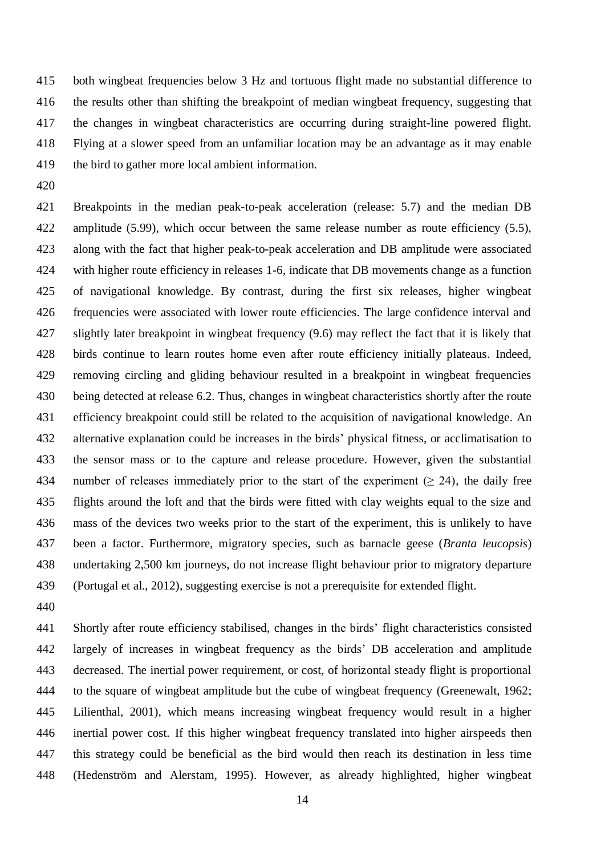both wingbeat frequencies below 3 Hz and tortuous flight made no substantial difference to the results other than shifting the breakpoint of median wingbeat frequency, suggesting that the changes in wingbeat characteristics are occurring during straight-line powered flight. Flying at a slower speed from an unfamiliar location may be an advantage as it may enable the bird to gather more local ambient information.

 Breakpoints in the median peak-to-peak acceleration (release: 5.7) and the median DB amplitude (5.99), which occur between the same release number as route efficiency (5.5), along with the fact that higher peak-to-peak acceleration and DB amplitude were associated with higher route efficiency in releases 1-6, indicate that DB movements change as a function of navigational knowledge. By contrast, during the first six releases, higher wingbeat frequencies were associated with lower route efficiencies. The large confidence interval and slightly later breakpoint in wingbeat frequency (9.6) may reflect the fact that it is likely that birds continue to learn routes home even after route efficiency initially plateaus. Indeed, removing circling and gliding behaviour resulted in a breakpoint in wingbeat frequencies being detected at release 6.2. Thus, changes in wingbeat characteristics shortly after the route efficiency breakpoint could still be related to the acquisition of navigational knowledge. An alternative explanation could be increases in the birds' physical fitness, or acclimatisation to the sensor mass or to the capture and release procedure. However, given the substantial 434 number of releases immediately prior to the start of the experiment ( $\geq$  24), the daily free flights around the loft and that the birds were fitted with clay weights equal to the size and mass of the devices two weeks prior to the start of the experiment, this is unlikely to have been a factor. Furthermore, migratory species, such as barnacle geese (*Branta leucopsis*) undertaking 2,500 km journeys, do not increase flight behaviour prior to migratory departure (Portugal et al., 2012), suggesting exercise is not a prerequisite for extended flight.

 Shortly after route efficiency stabilised, changes in the birds' flight characteristics consisted largely of increases in wingbeat frequency as the birds' DB acceleration and amplitude decreased. The inertial power requirement, or cost, of horizontal steady flight is proportional to the square of wingbeat amplitude but the cube of wingbeat frequency (Greenewalt, 1962; Lilienthal, 2001), which means increasing wingbeat frequency would result in a higher inertial power cost. If this higher wingbeat frequency translated into higher airspeeds then this strategy could be beneficial as the bird would then reach its destination in less time (Hedenström and Alerstam, 1995). However, as already highlighted, higher wingbeat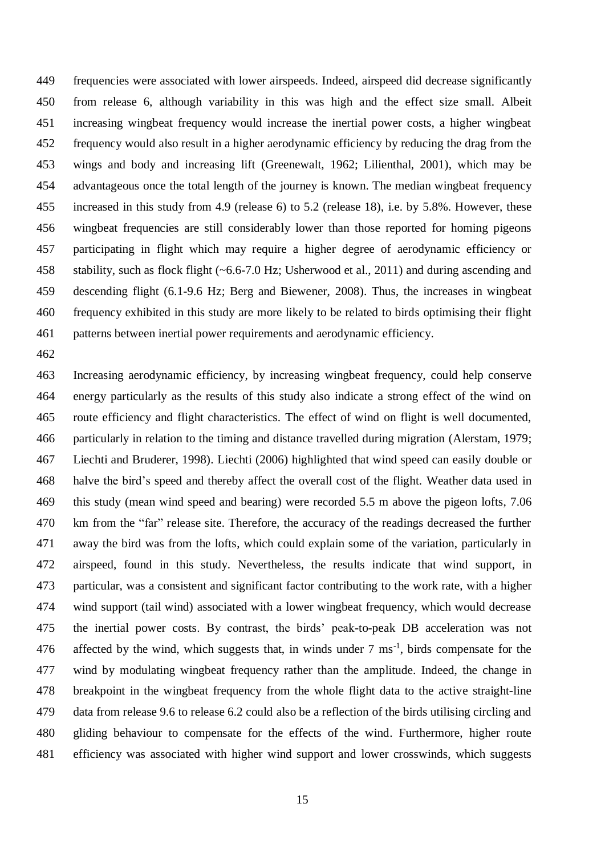frequencies were associated with lower airspeeds. Indeed, airspeed did decrease significantly from release 6, although variability in this was high and the effect size small. Albeit increasing wingbeat frequency would increase the inertial power costs, a higher wingbeat frequency would also result in a higher aerodynamic efficiency by reducing the drag from the wings and body and increasing lift (Greenewalt, 1962; Lilienthal, 2001), which may be advantageous once the total length of the journey is known. The median wingbeat frequency increased in this study from 4.9 (release 6) to 5.2 (release 18), i.e. by 5.8%. However, these wingbeat frequencies are still considerably lower than those reported for homing pigeons participating in flight which may require a higher degree of aerodynamic efficiency or stability, such as flock flight (~6.6-7.0 Hz; Usherwood et al., 2011) and during ascending and descending flight (6.1-9.6 Hz; Berg and Biewener, 2008). Thus, the increases in wingbeat frequency exhibited in this study are more likely to be related to birds optimising their flight patterns between inertial power requirements and aerodynamic efficiency.

 Increasing aerodynamic efficiency, by increasing wingbeat frequency, could help conserve energy particularly as the results of this study also indicate a strong effect of the wind on route efficiency and flight characteristics. The effect of wind on flight is well documented, particularly in relation to the timing and distance travelled during migration (Alerstam, 1979; Liechti and Bruderer, 1998). Liechti (2006) highlighted that wind speed can easily double or halve the bird's speed and thereby affect the overall cost of the flight. Weather data used in this study (mean wind speed and bearing) were recorded 5.5 m above the pigeon lofts, 7.06 km from the "far" release site. Therefore, the accuracy of the readings decreased the further away the bird was from the lofts, which could explain some of the variation, particularly in airspeed, found in this study. Nevertheless, the results indicate that wind support, in particular, was a consistent and significant factor contributing to the work rate, with a higher wind support (tail wind) associated with a lower wingbeat frequency, which would decrease the inertial power costs. By contrast, the birds' peak-to-peak DB acceleration was not 476 affected by the wind, which suggests that, in winds under  $7 \text{ ms}^{-1}$ , birds compensate for the wind by modulating wingbeat frequency rather than the amplitude. Indeed, the change in breakpoint in the wingbeat frequency from the whole flight data to the active straight-line data from release 9.6 to release 6.2 could also be a reflection of the birds utilising circling and gliding behaviour to compensate for the effects of the wind. Furthermore, higher route efficiency was associated with higher wind support and lower crosswinds, which suggests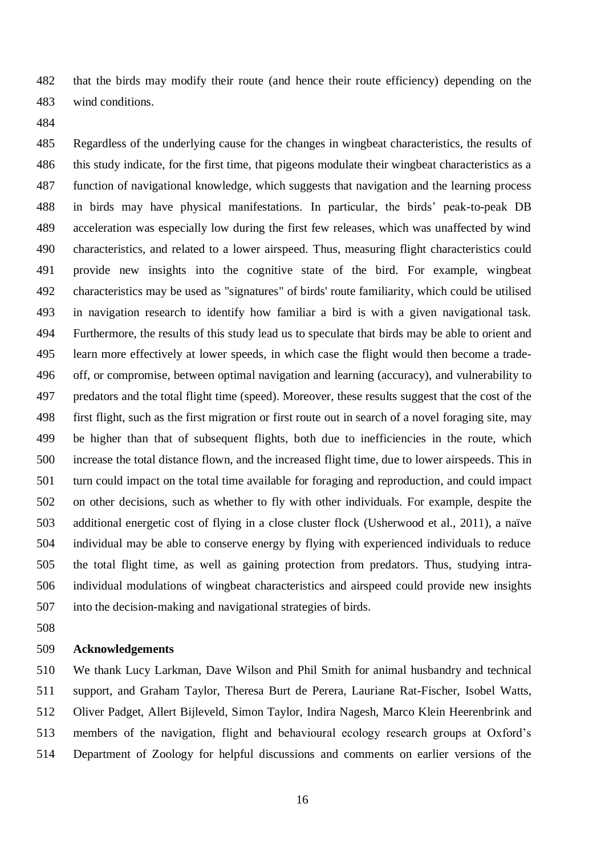that the birds may modify their route (and hence their route efficiency) depending on the wind conditions.

 Regardless of the underlying cause for the changes in wingbeat characteristics, the results of this study indicate, for the first time, that pigeons modulate their wingbeat characteristics as a function of navigational knowledge, which suggests that navigation and the learning process in birds may have physical manifestations. In particular, the birds' peak-to-peak DB acceleration was especially low during the first few releases, which was unaffected by wind characteristics, and related to a lower airspeed. Thus, measuring flight characteristics could provide new insights into the cognitive state of the bird. For example, wingbeat characteristics may be used as "signatures" of birds' route familiarity, which could be utilised in navigation research to identify how familiar a bird is with a given navigational task. Furthermore, the results of this study lead us to speculate that birds may be able to orient and learn more effectively at lower speeds, in which case the flight would then become a trade- off, or compromise, between optimal navigation and learning (accuracy), and vulnerability to predators and the total flight time (speed). Moreover, these results suggest that the cost of the first flight, such as the first migration or first route out in search of a novel foraging site, may be higher than that of subsequent flights, both due to inefficiencies in the route, which increase the total distance flown, and the increased flight time, due to lower airspeeds. This in turn could impact on the total time available for foraging and reproduction, and could impact on other decisions, such as whether to fly with other individuals. For example, despite the additional energetic cost of flying in a close cluster flock (Usherwood et al., 2011), a naïve individual may be able to conserve energy by flying with experienced individuals to reduce the total flight time, as well as gaining protection from predators. Thus, studying intra- individual modulations of wingbeat characteristics and airspeed could provide new insights into the decision-making and navigational strategies of birds.

### **Acknowledgements**

 We thank Lucy Larkman, Dave Wilson and Phil Smith for animal husbandry and technical support, and Graham Taylor, Theresa Burt de Perera, Lauriane Rat-Fischer, Isobel Watts, Oliver Padget, Allert Bijleveld, Simon Taylor, Indira Nagesh, Marco Klein Heerenbrink and members of the navigation, flight and behavioural ecology research groups at Oxford's Department of Zoology for helpful discussions and comments on earlier versions of the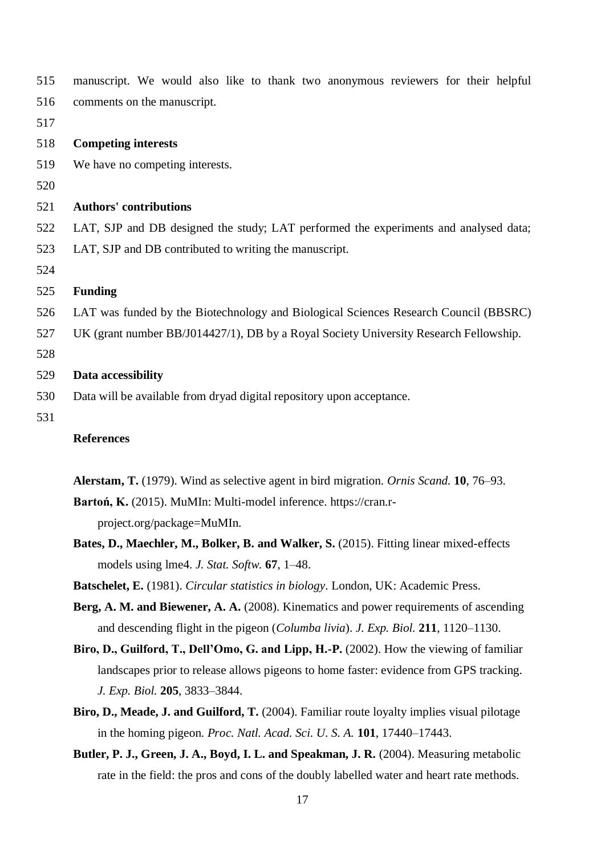| 515 | manuscript. We would also like to thank two anonymous reviewers for their helpful     |  |  |  |  |  |  |  |  |  |
|-----|---------------------------------------------------------------------------------------|--|--|--|--|--|--|--|--|--|
| 516 | comments on the manuscript.                                                           |  |  |  |  |  |  |  |  |  |
| 517 |                                                                                       |  |  |  |  |  |  |  |  |  |
| 518 | <b>Competing interests</b>                                                            |  |  |  |  |  |  |  |  |  |
| 519 | We have no competing interests.                                                       |  |  |  |  |  |  |  |  |  |
| 520 |                                                                                       |  |  |  |  |  |  |  |  |  |
| 521 | <b>Authors' contributions</b>                                                         |  |  |  |  |  |  |  |  |  |
| 522 | LAT, SJP and DB designed the study; LAT performed the experiments and analysed data;  |  |  |  |  |  |  |  |  |  |
| 523 | LAT, SJP and DB contributed to writing the manuscript.                                |  |  |  |  |  |  |  |  |  |
| 524 |                                                                                       |  |  |  |  |  |  |  |  |  |
| 525 | <b>Funding</b>                                                                        |  |  |  |  |  |  |  |  |  |
| 526 | LAT was funded by the Biotechnology and Biological Sciences Research Council (BBSRC)  |  |  |  |  |  |  |  |  |  |
| 527 | UK (grant number BB/J014427/1), DB by a Royal Society University Research Fellowship. |  |  |  |  |  |  |  |  |  |
| 528 |                                                                                       |  |  |  |  |  |  |  |  |  |
| 529 | Data accessibility                                                                    |  |  |  |  |  |  |  |  |  |
| 530 | Data will be available from dryad digital repository upon acceptance.                 |  |  |  |  |  |  |  |  |  |
| 531 |                                                                                       |  |  |  |  |  |  |  |  |  |
|     | <b>References</b>                                                                     |  |  |  |  |  |  |  |  |  |

**Alerstam, T.** (1979). Wind as selective agent in bird migration. *Ornis Scand.* **10**, 76–93.

**Bartoń, K.** (2015). MuMIn: Multi-model inference. https://cran.rproject.org/package=MuMIn.

- **Bates, D., Maechler, M., Bolker, B. and Walker, S.** (2015). Fitting linear mixed-effects models using lme4. *J. Stat. Softw.* **67**, 1–48.
- **Batschelet, E.** (1981). *Circular statistics in biology*. London, UK: Academic Press.
- **Berg, A. M. and Biewener, A. A.** (2008). Kinematics and power requirements of ascending and descending flight in the pigeon (*Columba livia*). *J. Exp. Biol.* **211**, 1120–1130.
- **Biro, D., Guilford, T., Dell'Omo, G. and Lipp, H.-P.** (2002). How the viewing of familiar landscapes prior to release allows pigeons to home faster: evidence from GPS tracking. *J. Exp. Biol.* **205**, 3833–3844.
- **Biro, D., Meade, J. and Guilford, T.** (2004). Familiar route loyalty implies visual pilotage in the homing pigeon. *Proc. Natl. Acad. Sci. U. S. A.* **101**, 17440–17443.
- **Butler, P. J., Green, J. A., Boyd, I. L. and Speakman, J. R.** (2004). Measuring metabolic rate in the field: the pros and cons of the doubly labelled water and heart rate methods.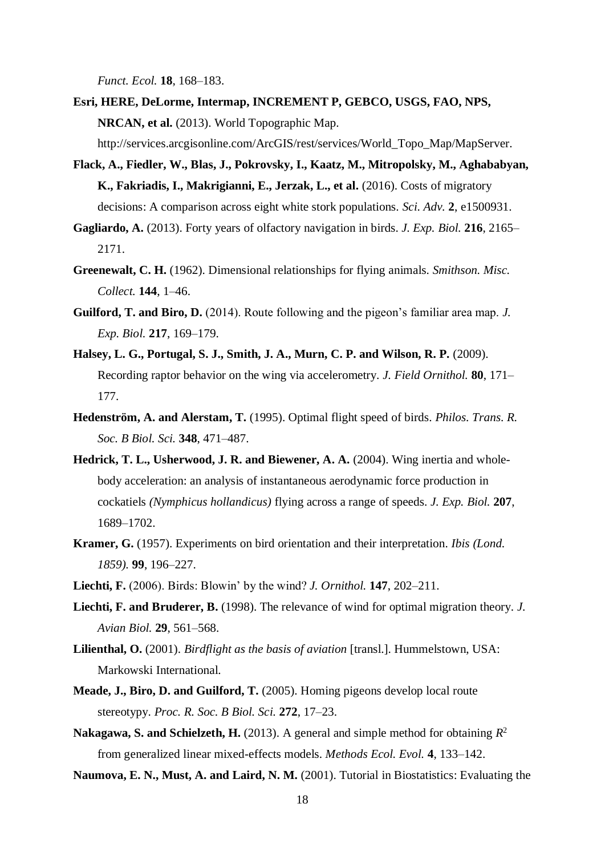*Funct. Ecol.* **18**, 168–183.

- **Esri, HERE, DeLorme, Intermap, INCREMENT P, GEBCO, USGS, FAO, NPS, NRCAN, et al.** (2013). World Topographic Map.
	- http://services.arcgisonline.com/ArcGIS/rest/services/World\_Topo\_Map/MapServer.
- **Flack, A., Fiedler, W., Blas, J., Pokrovsky, I., Kaatz, M., Mitropolsky, M., Aghababyan, K., Fakriadis, I., Makrigianni, E., Jerzak, L., et al.** (2016). Costs of migratory decisions: A comparison across eight white stork populations. *Sci. Adv.* **2**, e1500931.
- **Gagliardo, A.** (2013). Forty years of olfactory navigation in birds. *J. Exp. Biol.* **216**, 2165– 2171.
- **Greenewalt, C. H.** (1962). Dimensional relationships for flying animals. *Smithson. Misc. Collect.* **144**, 1–46.
- **Guilford, T. and Biro, D.** (2014). Route following and the pigeon's familiar area map. *J. Exp. Biol.* **217**, 169–179.
- **Halsey, L. G., Portugal, S. J., Smith, J. A., Murn, C. P. and Wilson, R. P.** (2009). Recording raptor behavior on the wing via accelerometry. *J. Field Ornithol.* **80**, 171– 177.
- **Hedenström, A. and Alerstam, T.** (1995). Optimal flight speed of birds. *Philos. Trans. R. Soc. B Biol. Sci.* **348**, 471–487.
- **Hedrick, T. L., Usherwood, J. R. and Biewener, A. A.** (2004). Wing inertia and wholebody acceleration: an analysis of instantaneous aerodynamic force production in cockatiels *(Nymphicus hollandicus)* flying across a range of speeds. *J. Exp. Biol.* **207**, 1689–1702.
- **Kramer, G.** (1957). Experiments on bird orientation and their interpretation. *Ibis (Lond. 1859).* **99**, 196–227.
- **Liechti, F.** (2006). Birds: Blowin' by the wind? *J. Ornithol.* **147**, 202–211.
- **Liechti, F. and Bruderer, B.** (1998). The relevance of wind for optimal migration theory. *J. Avian Biol.* **29**, 561–568.
- **Lilienthal, O.** (2001). *Birdflight as the basis of aviation* [transl.]. Hummelstown, USA: Markowski International.
- **Meade, J., Biro, D. and Guilford, T.** (2005). Homing pigeons develop local route stereotypy. *Proc. R. Soc. B Biol. Sci.* **272**, 17–23.
- Nakagawa, S. and Schielzeth, H. (2013). A general and simple method for obtaining  $R^2$ from generalized linear mixed-effects models. *Methods Ecol. Evol.* **4**, 133–142.
- **Naumova, E. N., Must, A. and Laird, N. M.** (2001). Tutorial in Biostatistics: Evaluating the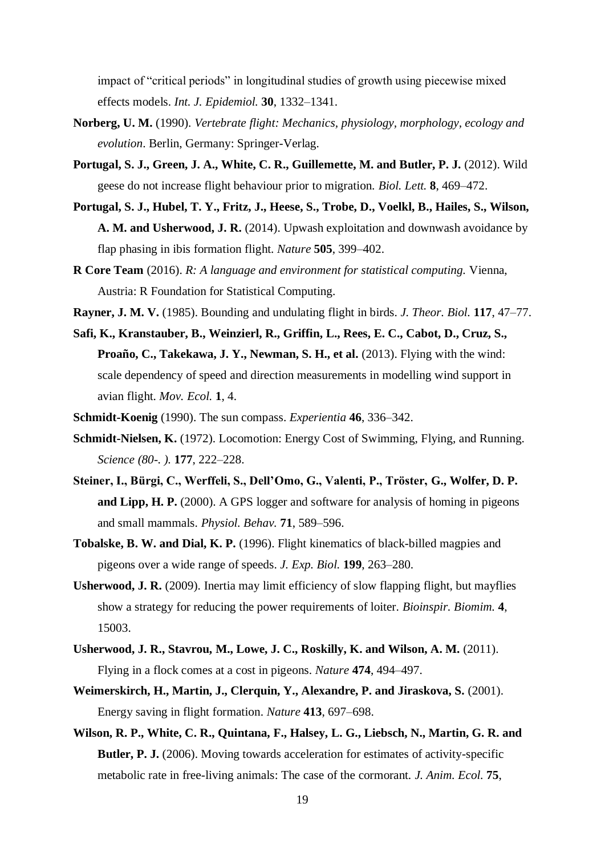impact of "critical periods" in longitudinal studies of growth using piecewise mixed effects models. *Int. J. Epidemiol.* **30**, 1332–1341.

- **Norberg, U. M.** (1990). *Vertebrate flight: Mechanics, physiology, morphology, ecology and evolution*. Berlin, Germany: Springer-Verlag.
- **Portugal, S. J., Green, J. A., White, C. R., Guillemette, M. and Butler, P. J.** (2012). Wild geese do not increase flight behaviour prior to migration. *Biol. Lett.* **8**, 469–472.
- **Portugal, S. J., Hubel, T. Y., Fritz, J., Heese, S., Trobe, D., Voelkl, B., Hailes, S., Wilson, A. M. and Usherwood, J. R.** (2014). Upwash exploitation and downwash avoidance by flap phasing in ibis formation flight. *Nature* **505**, 399–402.
- **R Core Team** (2016). *R: A language and environment for statistical computing.* Vienna, Austria: R Foundation for Statistical Computing.
- **Rayner, J. M. V.** (1985). Bounding and undulating flight in birds. *J. Theor. Biol.* **117**, 47–77.
- **Safi, K., Kranstauber, B., Weinzierl, R., Griffin, L., Rees, E. C., Cabot, D., Cruz, S., Proaño, C., Takekawa, J. Y., Newman, S. H., et al.** (2013). Flying with the wind: scale dependency of speed and direction measurements in modelling wind support in avian flight. *Mov. Ecol.* **1**, 4.
- **Schmidt-Koenig** (1990). The sun compass. *Experientia* **46**, 336–342.
- **Schmidt-Nielsen, K.** (1972). Locomotion: Energy Cost of Swimming, Flying, and Running. *Science (80-. ).* **177**, 222–228.
- **Steiner, I., Bürgi, C., Werffeli, S., Dell'Omo, G., Valenti, P., Tröster, G., Wolfer, D. P. and Lipp, H. P.** (2000). A GPS logger and software for analysis of homing in pigeons and small mammals. *Physiol. Behav.* **71**, 589–596.
- **Tobalske, B. W. and Dial, K. P.** (1996). Flight kinematics of black-billed magpies and pigeons over a wide range of speeds. *J. Exp. Biol.* **199**, 263–280.
- **Usherwood, J. R.** (2009). Inertia may limit efficiency of slow flapping flight, but mayflies show a strategy for reducing the power requirements of loiter. *Bioinspir. Biomim.* **4**, 15003.
- **Usherwood, J. R., Stavrou, M., Lowe, J. C., Roskilly, K. and Wilson, A. M.** (2011). Flying in a flock comes at a cost in pigeons. *Nature* **474**, 494–497.
- **Weimerskirch, H., Martin, J., Clerquin, Y., Alexandre, P. and Jiraskova, S.** (2001). Energy saving in flight formation. *Nature* **413**, 697–698.
- **Wilson, R. P., White, C. R., Quintana, F., Halsey, L. G., Liebsch, N., Martin, G. R. and Butler, P. J.** (2006). Moving towards acceleration for estimates of activity-specific metabolic rate in free-living animals: The case of the cormorant. *J. Anim. Ecol.* **75**,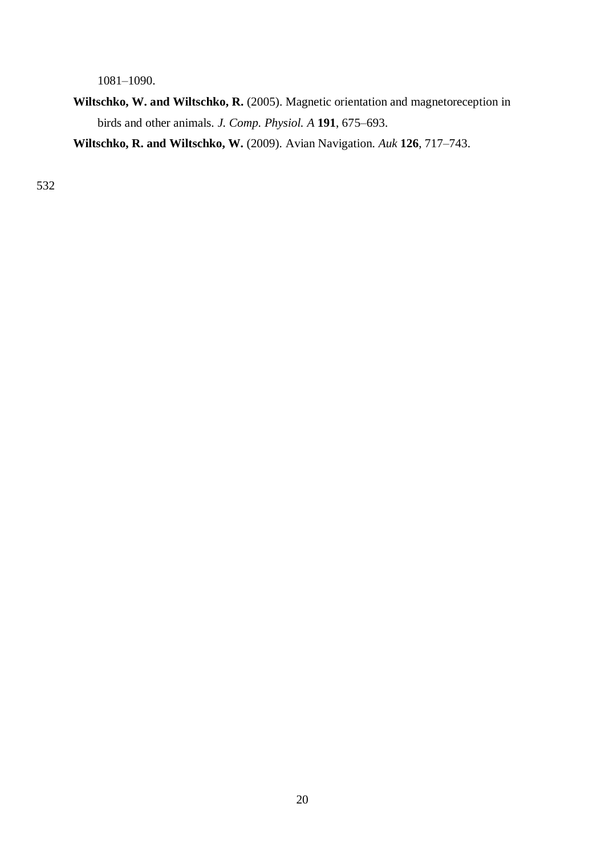1081–1090.

**Wiltschko, W. and Wiltschko, R.** (2005). Magnetic orientation and magnetoreception in birds and other animals. *J. Comp. Physiol. A* **191**, 675–693.

**Wiltschko, R. and Wiltschko, W.** (2009). Avian Navigation. *Auk* **126**, 717–743.

532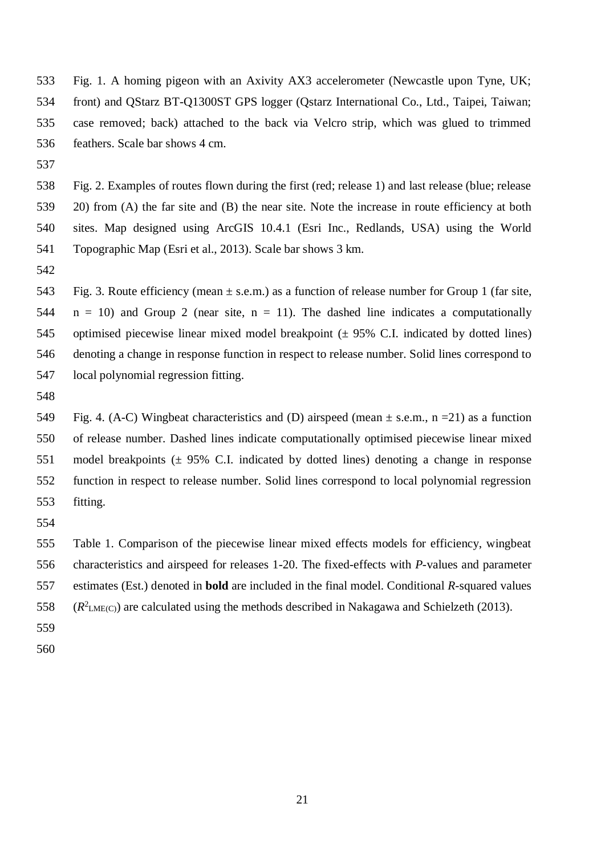Fig. 1. A homing pigeon with an Axivity AX3 accelerometer (Newcastle upon Tyne, UK; front) and QStarz BT-Q1300ST GPS logger (Qstarz International Co., Ltd., Taipei, Taiwan; case removed; back) attached to the back via Velcro strip, which was glued to trimmed feathers. Scale bar shows 4 cm.

 Fig. 2. Examples of routes flown during the first (red; release 1) and last release (blue; release 20) from (A) the far site and (B) the near site. Note the increase in route efficiency at both sites. Map designed using ArcGIS 10.4.1 (Esri Inc., Redlands, USA) using the World Topographic Map (Esri et al., 2013). Scale bar shows 3 km.

543 Fig. 3. Route efficiency (mean  $\pm$  s.e.m.) as a function of release number for Group 1 (far site,  $n = 10$ ) and Group 2 (near site,  $n = 11$ ). The dashed line indicates a computationally optimised piecewise linear mixed model breakpoint (± 95% C.I. indicated by dotted lines) denoting a change in response function in respect to release number. Solid lines correspond to local polynomial regression fitting.

549 Fig. 4. (A-C) Wingbeat characteristics and (D) airspeed (mean  $\pm$  s.e.m., n = 21) as a function of release number. Dashed lines indicate computationally optimised piecewise linear mixed model breakpoints (± 95% C.I. indicated by dotted lines) denoting a change in response function in respect to release number. Solid lines correspond to local polynomial regression fitting.

 Table 1. Comparison of the piecewise linear mixed effects models for efficiency, wingbeat characteristics and airspeed for releases 1-20. The fixed-effects with *P*-values and parameter estimates (Est.) denoted in **bold** are included in the final model. Conditional *R*-squared values

- 558 ( $R^2$ <sub>LME(C)</sub>) are calculated using the methods described in Nakagawa and Schielzeth (2013).
-